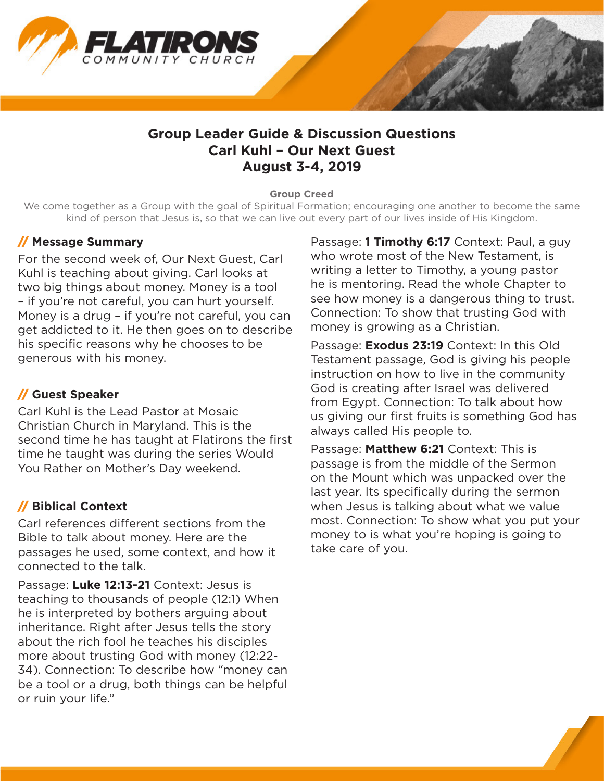

# **Group Leader Guide & Discussion Questions Carl Kuhl – Our Next Guest August 3-4, 2019**

#### **Group Creed**

We come together as a Group with the goal of Spiritual Formation; encouraging one another to become the same kind of person that Jesus is, so that we can live out every part of our lives inside of His Kingdom.

#### // **Message Summary**

For the second week of, Our Next Guest, Carl Kuhl is teaching about giving. Carl looks at two big things about money. Money is a tool – if you're not careful, you can hurt yourself. Money is a drug – if you're not careful, you can get addicted to it. He then goes on to describe his specific reasons why he chooses to be generous with his money.

### // **Guest Speaker**

Carl Kuhl is the Lead Pastor at Mosaic Christian Church in Maryland. This is the second time he has taught at Flatirons the first time he taught was during the series Would You Rather on Mother's Day weekend.

# // **Biblical Context**

Carl references different sections from the Bible to talk about money. Here are the passages he used, some context, and how it connected to the talk.

Passage: **Luke 12:13-21** Context: Jesus is teaching to thousands of people (12:1) When he is interpreted by bothers arguing about inheritance. Right after Jesus tells the story about the rich fool he teaches his disciples more about trusting God with money (12:22- 34). Connection: To describe how "money can be a tool or a drug, both things can be helpful or ruin your life."

Passage: **1 Timothy 6:17** Context: Paul, a guy who wrote most of the New Testament, is writing a letter to Timothy, a young pastor he is mentoring. Read the whole Chapter to see how money is a dangerous thing to trust. Connection: To show that trusting God with money is growing as a Christian.

Passage: **Exodus 23:19** Context: In this Old Testament passage, God is giving his people instruction on how to live in the community God is creating after Israel was delivered from Egypt. Connection: To talk about how us giving our first fruits is something God has always called His people to.

Passage: **Matthew 6:21** Context: This is passage is from the middle of the Sermon on the Mount which was unpacked over the last year. Its specifically during the sermon when Jesus is talking about what we value most. Connection: To show what you put your money to is what you're hoping is going to take care of you.